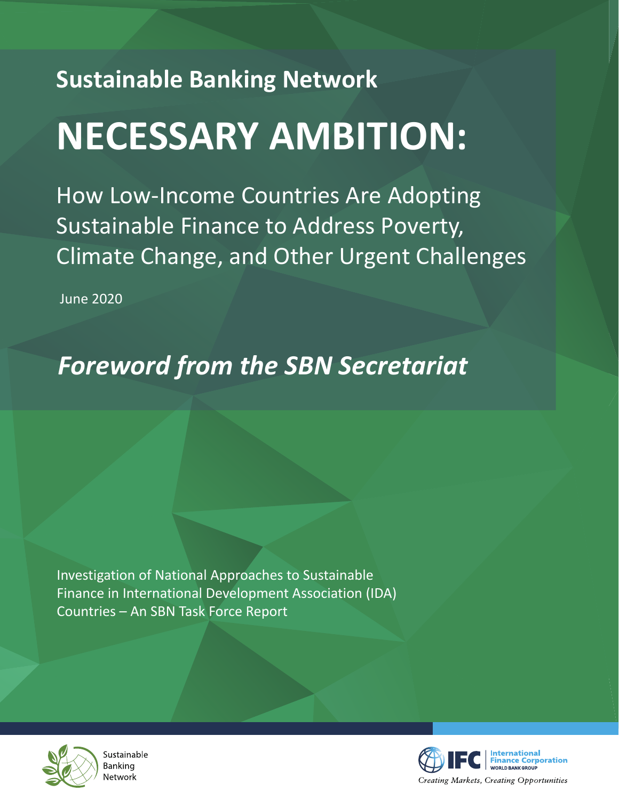## **Sustainable Banking Network NECESSARY AMBITION:**

How Low-Income Countries Are Adopting Sustainable Finance to Address Poverty, Climate Change, and Other Urgent Challenges

June 2020

## *Foreword from the SBN Secretariat*

Investigation of National Approaches to Sustainable Finance in International Development Association (IDA) Countries – An SBN Task Force Report



Sustainable Banking Network